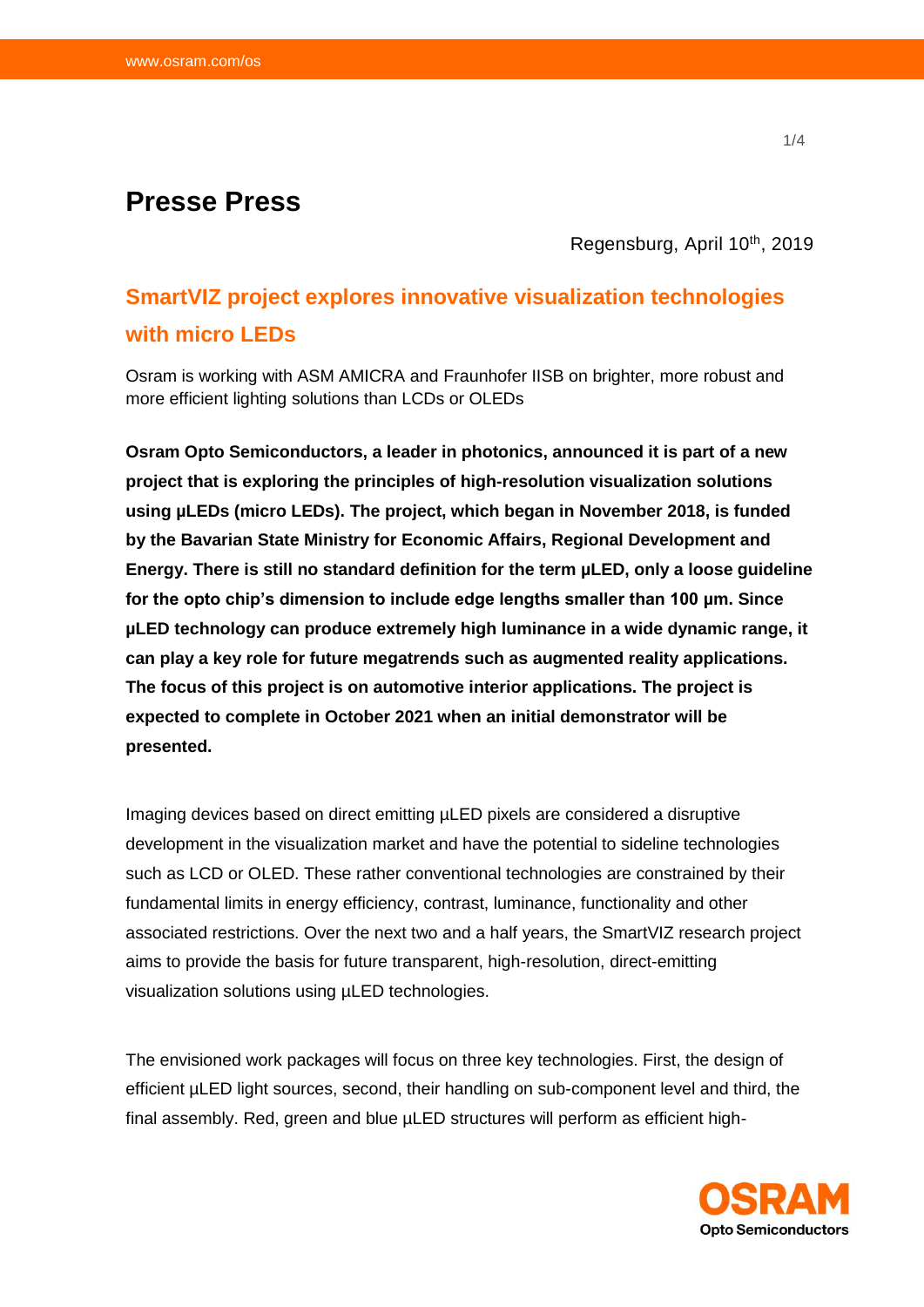## **Presse Press**

Regensburg, April 10<sup>th</sup>, 2019

# **SmartVIZ project explores innovative visualization technologies with micro LEDs**

Osram is working with ASM AMICRA and Fraunhofer IISB on brighter, more robust and more efficient lighting solutions than LCDs or OLEDs

**Osram Opto Semiconductors, a leader in photonics, announced it is part of a new project that is exploring the principles of high-resolution visualization solutions using µLEDs (micro LEDs). The project, which began in November 2018, is funded by the Bavarian State Ministry for Economic Affairs, Regional Development and Energy. There is still no standard definition for the term µLED, only a loose guideline for the opto chip's dimension to include edge lengths smaller than 100 µm. Since µLED technology can produce extremely high luminance in a wide dynamic range, it can play a key role for future megatrends such as augmented reality applications. The focus of this project is on automotive interior applications. The project is expected to complete in October 2021 when an initial demonstrator will be presented.**

Imaging devices based on direct emitting µLED pixels are considered a disruptive development in the visualization market and have the potential to sideline technologies such as LCD or OLED. These rather conventional technologies are constrained by their fundamental limits in energy efficiency, contrast, luminance, functionality and other associated restrictions. Over the next two and a half years, the SmartVIZ research project aims to provide the basis for future transparent, high-resolution, direct-emitting visualization solutions using µLED technologies.

The envisioned work packages will focus on three key technologies. First, the design of efficient µLED light sources, second, their handling on sub-component level and third, the final assembly. Red, green and blue µLED structures will perform as efficient high-

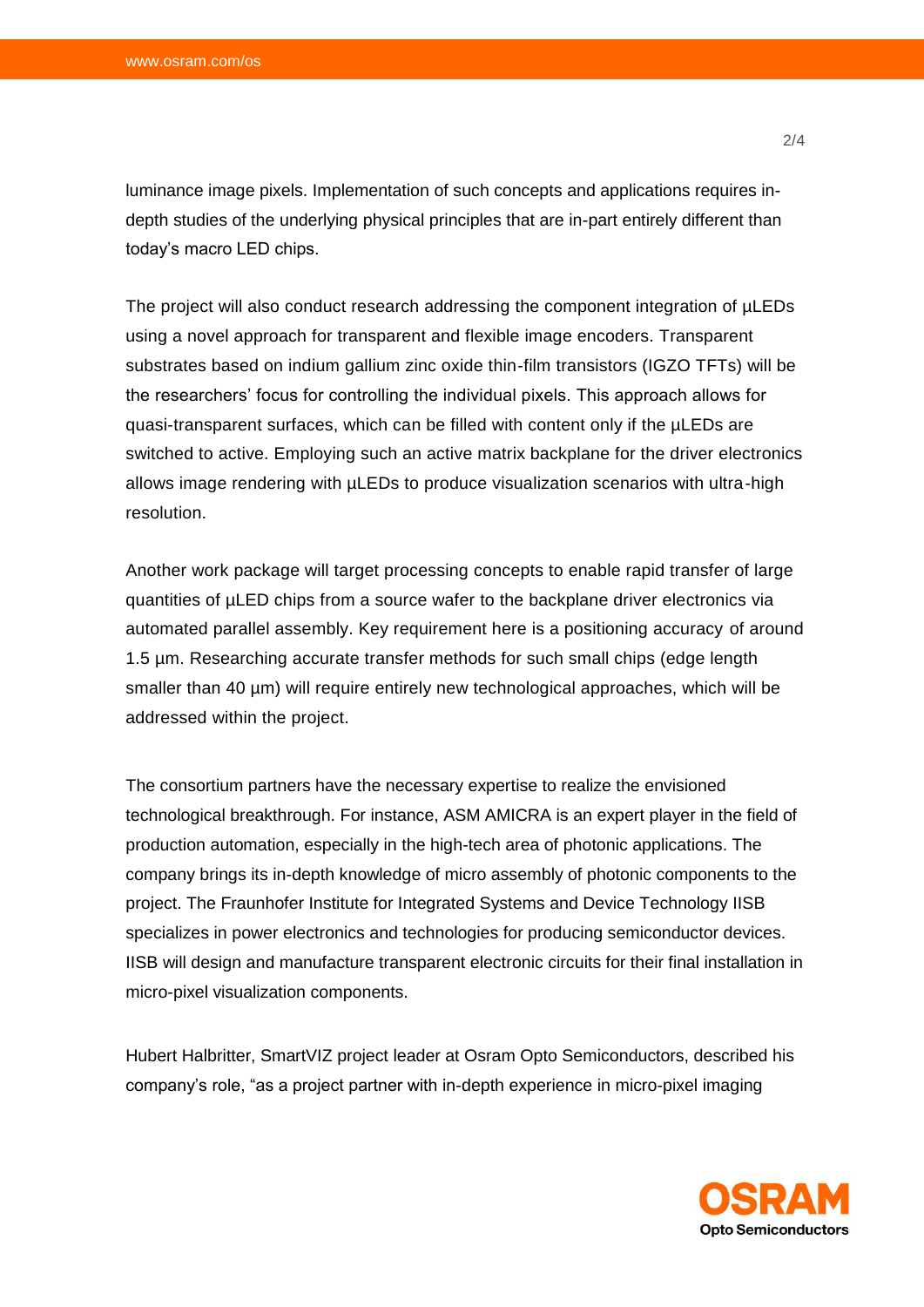luminance image pixels. Implementation of such concepts and applications requires indepth studies of the underlying physical principles that are in-part entirely different than today's macro LED chips.

The project will also conduct research addressing the component integration of µLEDs using a novel approach for transparent and flexible image encoders. Transparent substrates based on indium gallium zinc oxide thin-film transistors (IGZO TFTs) will be the researchers' focus for controlling the individual pixels. This approach allows for quasi-transparent surfaces, which can be filled with content only if the µLEDs are switched to active. Employing such an active matrix backplane for the driver electronics allows image rendering with µLEDs to produce visualization scenarios with ultra-high resolution.

Another work package will target processing concepts to enable rapid transfer of large quantities of µLED chips from a source wafer to the backplane driver electronics via automated parallel assembly. Key requirement here is a positioning accuracy of around 1.5 µm. Researching accurate transfer methods for such small chips (edge length smaller than 40 µm) will require entirely new technological approaches, which will be addressed within the project.

The consortium partners have the necessary expertise to realize the envisioned technological breakthrough. For instance, ASM AMICRA is an expert player in the field of production automation, especially in the high-tech area of photonic applications. The company brings its in-depth knowledge of micro assembly of photonic components to the project. The Fraunhofer Institute for Integrated Systems and Device Technology IISB specializes in power electronics and technologies for producing semiconductor devices. IISB will design and manufacture transparent electronic circuits for their final installation in micro-pixel visualization components.

Hubert Halbritter, SmartVIZ project leader at Osram Opto Semiconductors, described his company's role, "as a project partner with in-depth experience in micro-pixel imaging

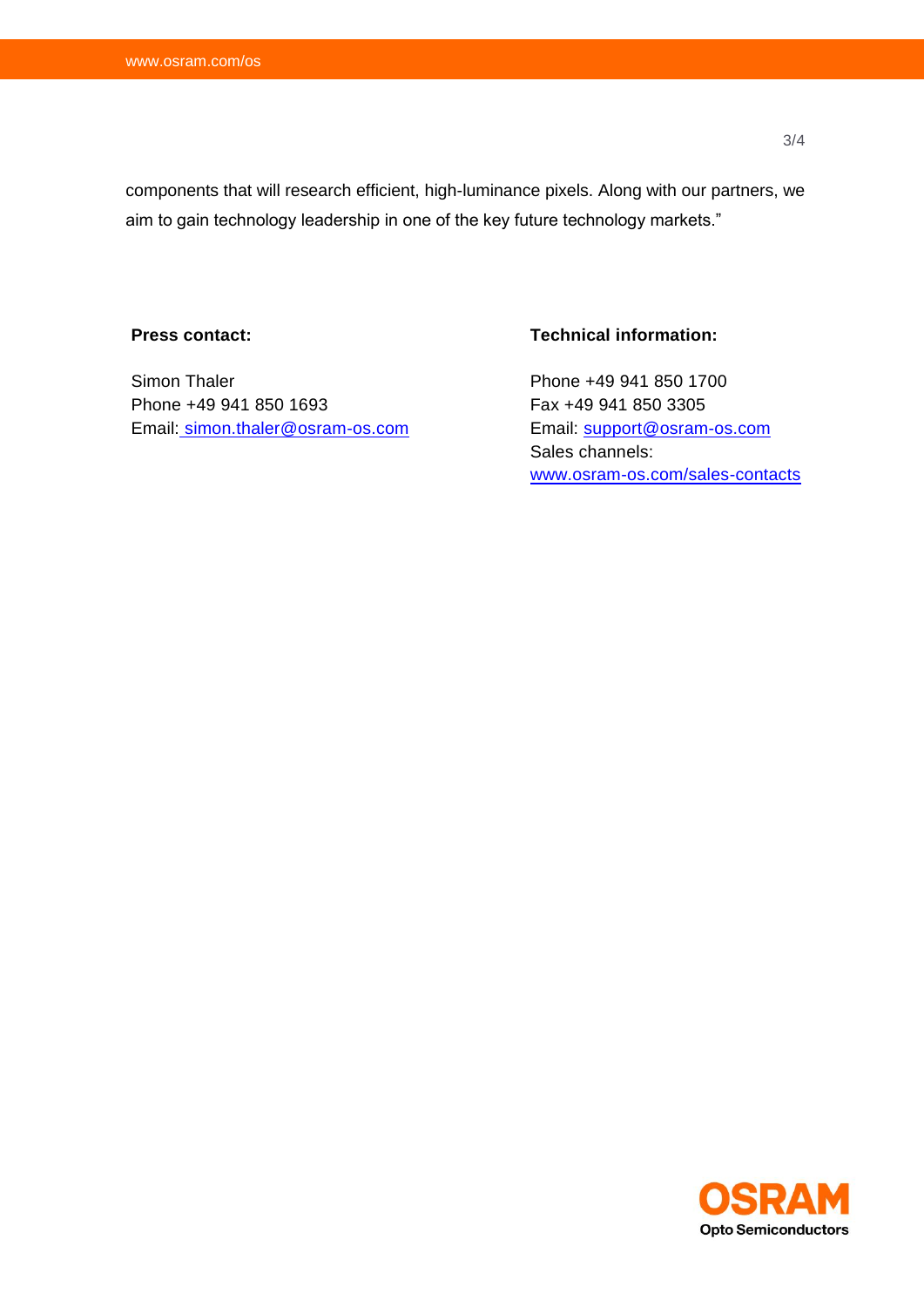components that will research efficient, high-luminance pixels. Along with our partners, we aim to gain technology leadership in one of the key future technology markets."

#### **Press contact:**

Simon Thaler Phone +49 941 850 1693 Email: [simon.thaler@osram-os.com](mailto:simon.thaler@osram-os.com)

### **Technical information:**

Phone +49 941 850 1700 Fax +49 941 850 3305 Email: [support@osram-os.com](mailto:support@osram-os.com) Sales channels: [www.osram-os.com/sales-contacts](http://www.osram-os.com/sales-contacts)